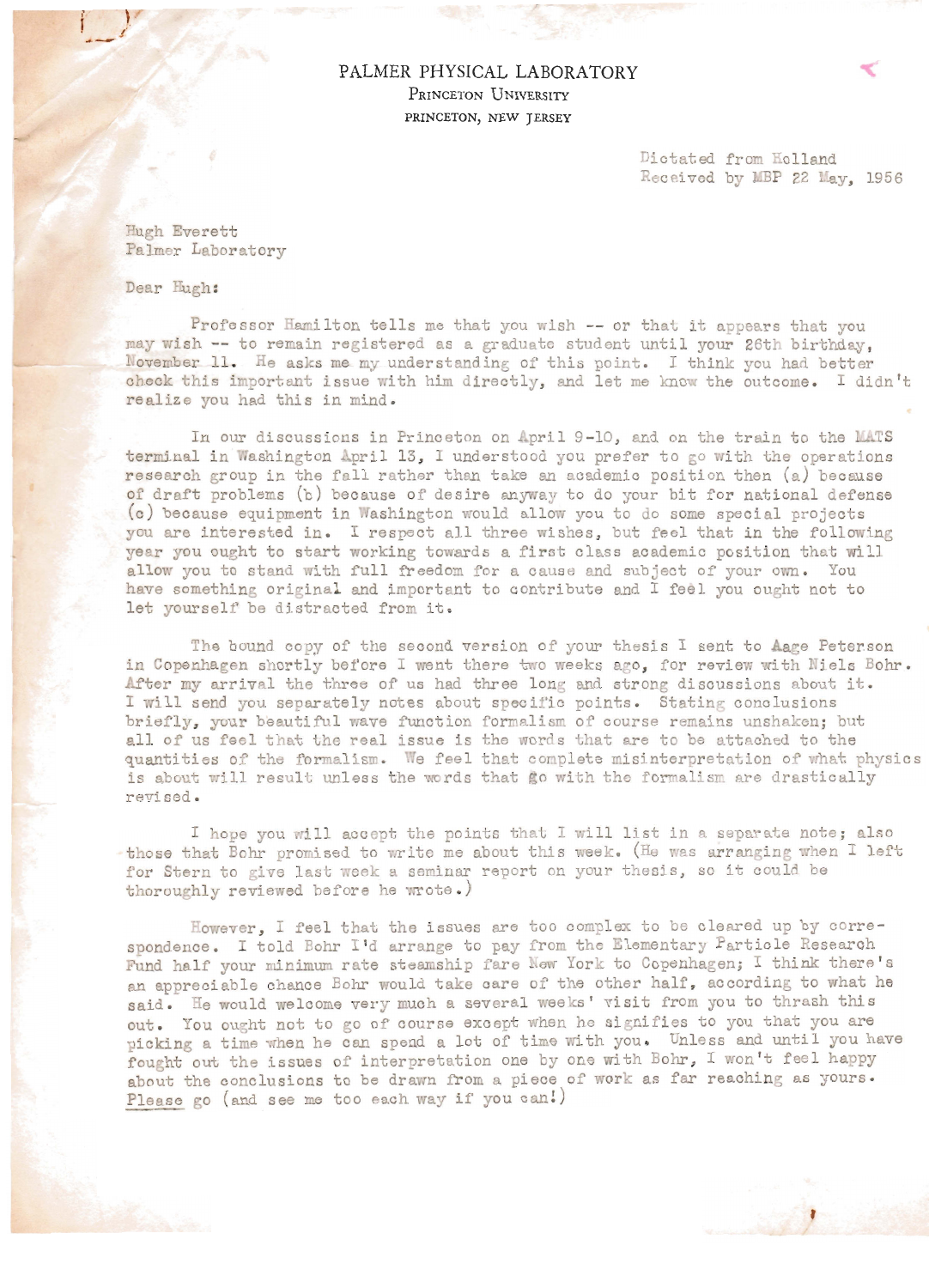PALMER PHYSICAL LABORATORY PRINCETON UNIVERSITY PRINCETON, NEW JERSEY

> Dictated from Holland Received by MBP 22 May, 1956

Hugh Everett Palmer Laboratory

Dear Hugh:

Professor Hamilton tells me that you wish -- or that it appears that you may wish -- to remain registered as a graduate student until your 26th birthday, November 11. He asks me my understanding of this point. I think you had better check this important issue with him directly, and let me know the outcome. I didn't realize you had this in mind .

In our discussions in Princeton on April 9-10, and on the train to the MATS terminal in Washington April 13, I understood you prefer to go with the operations research group in the fall rather then take sn academic position then (a) because of draft problems (b) because of desire anyway to do your bit for national defense (c) because equipment in Washington would allow you to do some special projects you are interested in. I respect all three wishes, but feel that in the following year you ought to start working towards a first class academic position that will allow you to stand with full freedom for a cause and subject of your own. You have something original and important to contribute and I feel you ought not to let yourself be distracted from it.

The bound copy of the second version of your thesis I sent to Aage Peterson in Copenhagen shortly before I went there two weeks ago, for review with Niels Bohr. After my arrival the three of us had three long and strong discussions about it. I will send you separately notes about specific points. Stating conclusions briefly, your beautiful wave function formalism of course remains unshaken; but all of us feel that the real issue is the words that are to be attached to the quantities of the formalism. We feel that complete misinterpretation of what physics is about will result unless the words that go with the formalism are drastically revised.

I hope you will accept the points that I will list in a separate note; also  $-$  those that Bohr promised to write me about this week. (He was arranging when I left for Stern to give last week a seminar report on your thesis, so it could be thoroughly reviewed before he wrote.)

However, I feel that the issues are too complex to be cleared up by correspondence. I told Bohr I'd arrange to pay from the Elementary Particle Research Fund half your minimum rate steamship fare New York to Copenhagen; I think there's an appreciable chance Bohr would take care of the other half, according to what he said. He would welcome very much a several weeks' visit from you to thrash this out. You ought not to go of course except when he signifies to you that you are picking a time when he can spend a lot of time with you. Unless and until you have fought out the issues of interpretation one by one with Bohr, I won't feel happy about the conclusions to be drawn from a piece of work as far reaching as yours. Please go (and see me too each way if you can!)